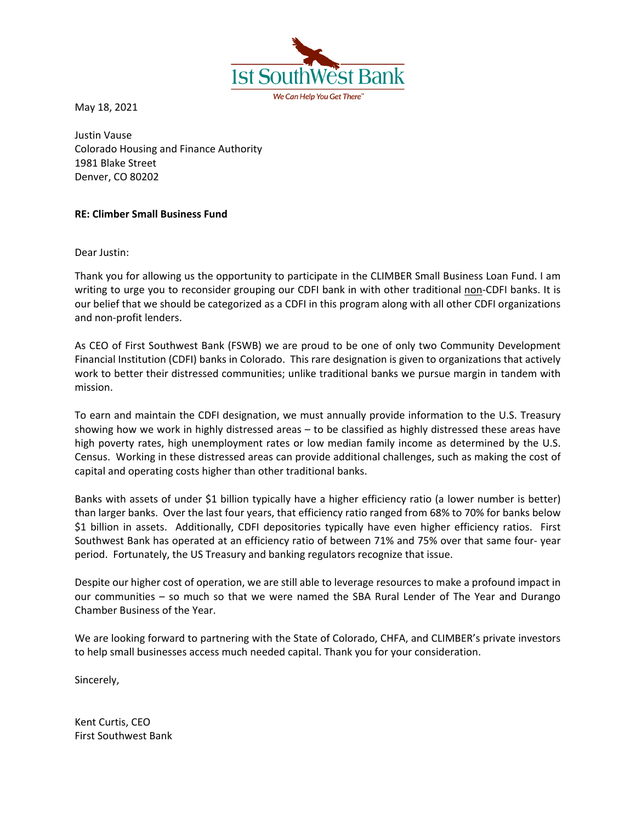May 18, 2021

Justin Vause Colorado Housing and Finance Authority 1981 Blake Street Denver, CO 80202

**1st Sot** 

## **RE: Climber Small Business Fund**

Dear Justin:

Thank you for allowing us the opportunity to participate in the CLIMBER Small Business Loan Fund. I am writing to urge you to reconsider grouping our CDFI bank in with other traditional non-CDFI banks. It is our belief that we should be categorized as a CDFI in this program along with all other CDFI organizations and non-profit lenders.

We Can Heln You Get There

As CEO of First Southwest Bank (FSWB) we are proud to be one of only two Community Development Financial Institution (CDFI) banks in Colorado. This rare designation is given to organizations that actively work to better their distressed communities; unlike traditional banks we pursue margin in tandem with mission.

To earn and maintain the CDFI designation, we must annually provide information to the U.S. Treasury showing how we work in highly distressed areas – to be classified as highly distressed these areas have high poverty rates, high unemployment rates or low median family income as determined by the U.S. Census. Working in these distressed areas can provide additional challenges, such as making the cost of capital and operating costs higher than other traditional banks.

Banks with assets of under \$1 billion typically have a higher efficiency ratio (a lower number is better) than larger banks. Over the last four years, that efficiency ratio ranged from 68% to 70% for banks below \$1 billion in assets. Additionally, CDFI depositories typically have even higher efficiency ratios. First Southwest Bank has operated at an efficiency ratio of between 71% and 75% over that same four- year period. Fortunately, the US Treasury and banking regulators recognize that issue.

Despite our higher cost of operation, we are still able to leverage resources to make a profound impact in our communities – so much so that we were named the SBA Rural Lender of The Year and Durango Chamber Business of the Year.

We are looking forward to partnering with the State of Colorado, CHFA, and CLIMBER's private investors to help small businesses access much needed capital. Thank you for your consideration.

Sincerely,

Kent Curtis, CEO First Southwest Bank